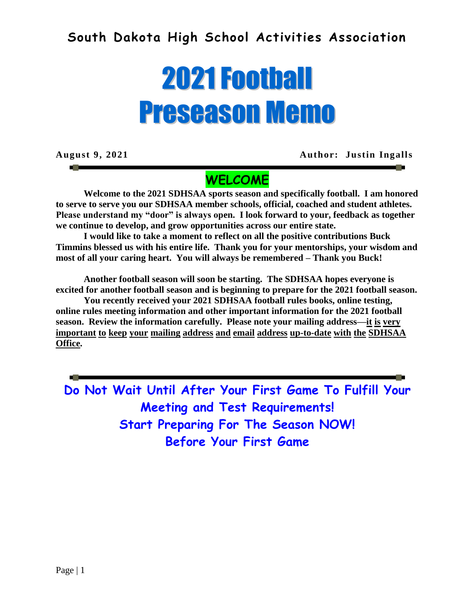## **South Dakota High School Activities Association**

# 2021Football Preseason Memo

**August 9, 2021 Author: Justin Ingalls**

## **WELCOME**

**Welcome to the 2021 SDHSAA sports season and specifically football. I am honored to serve to serve you our SDHSAA member schools, official, coached and student athletes. Please understand my "door" is always open. I look forward to your, feedback as together we continue to develop, and grow opportunities across our entire state.** 

**I would like to take a moment to reflect on all the positive contributions Buck Timmins blessed us with his entire life. Thank you for your mentorships, your wisdom and most of all your caring heart. You will always be remembered – Thank you Buck!**

**Another football season will soon be starting. The SDHSAA hopes everyone is excited for another football season and is beginning to prepare for the 2021 football season.**

**You recently received your 2021 SDHSAA football rules books, online testing, online rules meeting information and other important information for the 2021 football season. Review the information carefully. Please note your mailing address—it is very important to keep your mailing address and email address up-to-date with the SDHSAA Office.** 

**Do Not Wait Until After Your First Game To Fulfill Your Meeting and Test Requirements! Start Preparing For The Season NOW! Before Your First Game**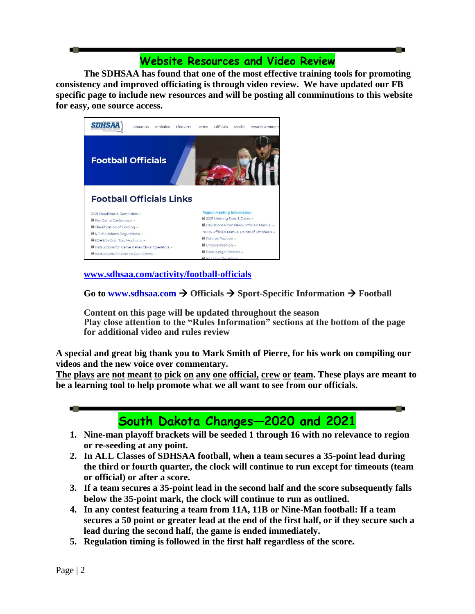## **Website Resources and Video Review**

**The SDHSAA has found that one of the most effective training tools for promoting consistency and improved officiating is through video review. We have updated our FB specific page to include new resources and will be posting all comminutions to this website for easy, one source access.** 



**[www.sdhsaa.com/activity/football-officials](http://www.sdhsaa.com/activity/football-officials)**

Go to www.sdhsaa.com  $\rightarrow$  Officials  $\rightarrow$  Sport-Specific Information  $\rightarrow$  Football

**Content on this page will be updated throughout the season Play close attention to the "Rules Information" sections at the bottom of the page for additional video and rules review**

**A special and great big thank you to Mark Smith of Pierre, for his work on compiling our videos and the new voice over commentary.**

**The plays are not meant to pick on any one official, crew or team. These plays are meant to be a learning tool to help promote what we all want to see from our officials.**



- **2. In ALL Classes of SDHSAA football, when a team secures a 35-point lead during the third or fourth quarter, the clock will continue to run except for timeouts (team or official) or after a score.**
- **3. If a team secures a 35-point lead in the second half and the score subsequently falls below the 35-point mark, the clock will continue to run as outlined.**
- **4. In any contest featuring a team from 11A, 11B or Nine-Man football: If a team secures a 50 point or greater lead at the end of the first half, or if they secure such a lead during the second half, the game is ended immediately.**
- **5. Regulation timing is followed in the first half regardless of the score.**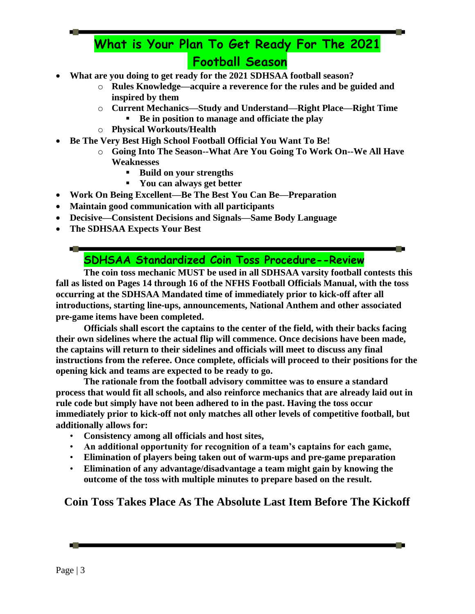# **What is Your Plan To Get Ready For The 2021 Football Season**

- **What are you doing to get ready for the 2021 SDHSAA football season?**
	- o **Rules Knowledge—acquire a reverence for the rules and be guided and inspired by them**
	- o **Current Mechanics—Study and Understand—Right Place—Right Time**
		- **Be in position to manage and officiate the play**
	- o **Physical Workouts/Health**
- **Be The Very Best High School Football Official You Want To Be!**
	- o **Going Into The Season--What Are You Going To Work On--We All Have Weaknesses**
		- **Build on your strengths**
		- **You can always get better**
- **Work On Being Excellent—Be The Best You Can Be—Preparation**
- **Maintain good communication with all participants**
- **Decisive—Consistent Decisions and Signals—Same Body Language**
- **The SDHSAA Expects Your Best**

**STO** 

## **SDHSAA Standardized Coin Toss Procedure--Review**

**The coin toss mechanic MUST be used in all SDHSAA varsity football contests this fall as listed on Pages 14 through 16 of the NFHS Football Officials Manual, with the toss occurring at the SDHSAA Mandated time of immediately prior to kick‐off after all introductions, starting line‐ups, announcements, National Anthem and other associated pre‐game items have been completed.**

**Officials shall escort the captains to the center of the field, with their backs facing their own sidelines where the actual flip will commence. Once decisions have been made, the captains will return to their sidelines and officials will meet to discuss any final instructions from the referee. Once complete, officials will proceed to their positions for the opening kick and teams are expected to be ready to go.**

**The rationale from the football advisory committee was to ensure a standard process that would fit all schools, and also reinforce mechanics that are already laid out in rule code but simply have not been adhered to in the past. Having the toss occur immediately prior to kick‐off not only matches all other levels of competitive football, but additionally allows for:**

- **Consistency among all officials and host sites,**
- **An additional opportunity for recognition of a team's captains for each game,**
- **Elimination of players being taken out of warm‐ups and pre‐game preparation**
- **Elimination of any advantage/disadvantage a team might gain by knowing the outcome of the toss with multiple minutes to prepare based on the result.**

**Coin Toss Takes Place As The Absolute Last Item Before The Kickoff**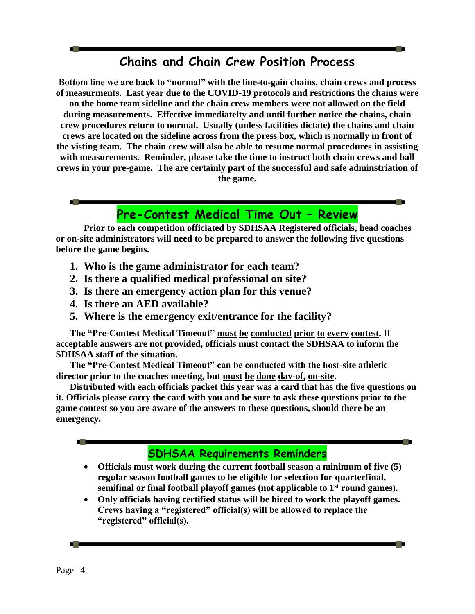## **Chains and Chain Crew Position Process**

**Bottom line we are back to "normal" with the line-to-gain chains, chain crews and process of measurments. Last year due to the COVID-19 protocols and restrictions the chains were on the home team sideline and the chain crew members were not allowed on the field during measurements. Effective immediatelty and until further notice the chains, chain crew procedures return to normal. Usually (unless facilities dictate) the chains and chain crews are located on the sideline across from the press box, which is normally in front of the visting team. The chain crew will also be able to resume normal procedures in assisting with measurements. Reminder, please take the time to instruct both chain crews and ball crews in your pre-game. The are certainly part of the successful and safe adminstriation of the game.**

## **Pre-Contest Medical Time Out – Review**

**Prior to each competition officiated by SDHSAA Registered officials, head coaches or on-site administrators will need to be prepared to answer the following five questions before the game begins.**

- **1. Who is the game administrator for each team?**
- **2. Is there a qualified medical professional on site?**
- **3. Is there an emergency action plan for this venue?**
- **4. Is there an AED available?**
- **5. Where is the emergency exit/entrance for the facility?**

**The "Pre-Contest Medical Timeout" must be conducted prior to every contest. If acceptable answers are not provided, officials must contact the SDHSAA to inform the SDHSAA staff of the situation.**

**The "Pre-Contest Medical Timeout" can be conducted with the host-site athletic director prior to the coaches meeting, but must be done day-of, on-site.**

**Distributed with each officials packet this year was a card that has the five questions on it. Officials please carry the card with you and be sure to ask these questions prior to the game contest so you are aware of the answers to these questions, should there be an emergency.**



- **Officials must work during the current football season a minimum of five (5) regular season football games to be eligible for selection for quarterfinal, semifinal or final football playoff games (not applicable to 1st round games).**
- **Only officials having certified status will be hired to work the playoff games. Crews having a "registered" official(s) will be allowed to replace the "registered" official(s).**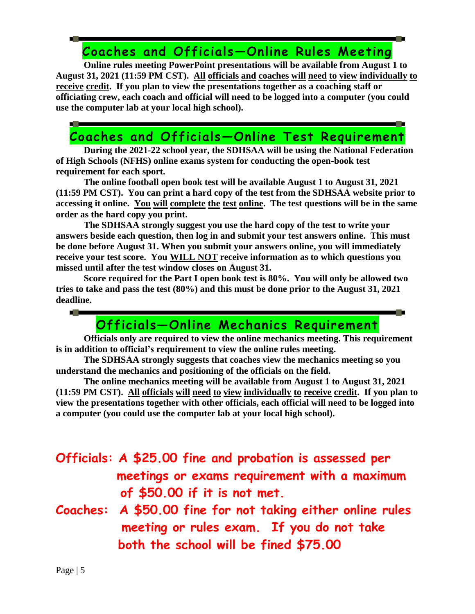# **Coaches and Officials—Online Rules Meeting**

**Online rules meeting PowerPoint presentations will be available from August 1 to August 31, 2021 (11:59 PM CST). All officials and coaches will need to view individually to receive credit. If you plan to view the presentations together as a coaching staff or officiating crew, each coach and official will need to be logged into a computer (you could use the computer lab at your local high school).**

## **Coaches and Officials—Online Test Requirement**

**During the 2021-22 school year, the SDHSAA will be using the National Federation of High Schools (NFHS) online exams system for conducting the open-book test requirement for each sport.** 

**The online football open book test will be available August 1 to August 31, 2021 (11:59 PM CST). You can print a hard copy of the test from the SDHSAA website prior to accessing it online. You will complete the test online. The test questions will be in the same order as the hard copy you print.**

**The SDHSAA strongly suggest you use the hard copy of the test to write your answers beside each question, then log in and submit your test answers online. This must be done before August 31. When you submit your answers online, you will immediately receive your test score. You WILL NOT receive information as to which questions you missed until after the test window closes on August 31.**

**Score required for the Part I open book test is 80%. You will only be allowed two tries to take and pass the test (80%) and this must be done prior to the August 31, 2021 deadline.**

## **Officials—Online Mechanics Requirement**

**Officials only are required to view the online mechanics meeting. This requirement is in addition to official's requirement to view the online rules meeting.**

**The SDHSAA strongly suggests that coaches view the mechanics meeting so you understand the mechanics and positioning of the officials on the field.**

**The online mechanics meeting will be available from August 1 to August 31, 2021 (11:59 PM CST). All officials will need to view individually to receive credit. If you plan to view the presentations together with other officials, each official will need to be logged into a computer (you could use the computer lab at your local high school).**

# **Officials: A \$25.00 fine and probation is assessed per meetings or exams requirement with a maximum of \$50.00 if it is not met.**

**Coaches: A \$50.00 fine for not taking either online rules meeting or rules exam. If you do not take both the school will be fined \$75.00**

**COLLEGE**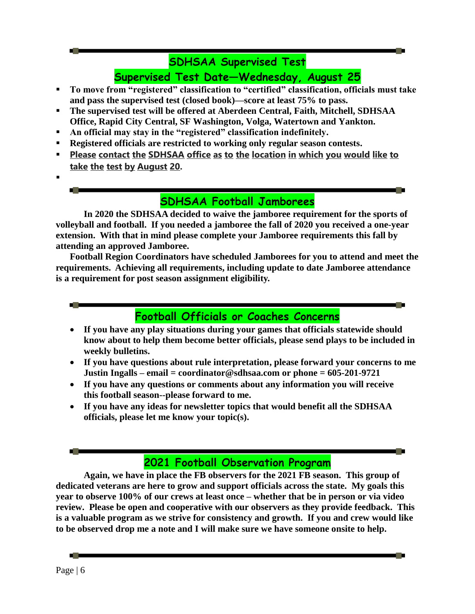#### **SDHSAA Supervised Test**

**Supervised Test Date—Wednesday, August 25**

- **To move from "registered" classification to "certified" classification, officials must take and pass the supervised test (closed book)—score at least 75% to pass.**
- **The supervised test will be offered at Aberdeen Central, Faith, Mitchell, SDHSAA Office, Rapid City Central, SF Washington, Volga, Watertown and Yankton.**
- **An official may stay in the "registered" classification indefinitely.**
- **Registered officials are restricted to working only regular season contests.**
- **Please contact the SDHSAA office as to the location in which you would like to take the test by August 20.**
- .

#### **SDHSAA Football Jamborees**

**In 2020 the SDHSAA decided to waive the jamboree requirement for the sports of volleyball and football. If you needed a jamboree the fall of 2020 you received a one-year extension. With that in mind please complete your Jamboree requirements this fall by attending an approved Jamboree.** 

**Football Region Coordinators have scheduled Jamborees for you to attend and meet the requirements. Achieving all requirements, including update to date Jamboree attendance is a requirement for post season assignment eligibility.**

## **Football Officials or Coaches Concerns**

- **If you have any play situations during your games that officials statewide should know about to help them become better officials, please send plays to be included in weekly bulletins.**
- **If you have questions about rule interpretation, please forward your concerns to me Justin Ingalls – email = coordinator@sdhsaa.com or phone = 605-201-9721**
- **If you have any questions or comments about any information you will receive this football season--please forward to me.**
- **If you have any ideas for newsletter topics that would benefit all the SDHSAA officials, please let me know your topic(s).**

## **2021 Football Observation Program**

**Again, we have in place the FB observers for the 2021 FB season. This group of dedicated veterans are here to grow and support officials across the state. My goals this year to observe 100% of our crews at least once – whether that be in person or via video review. Please be open and cooperative with our observers as they provide feedback. This is a valuable program as we strive for consistency and growth. If you and crew would like to be observed drop me a note and I will make sure we have someone onsite to help.**